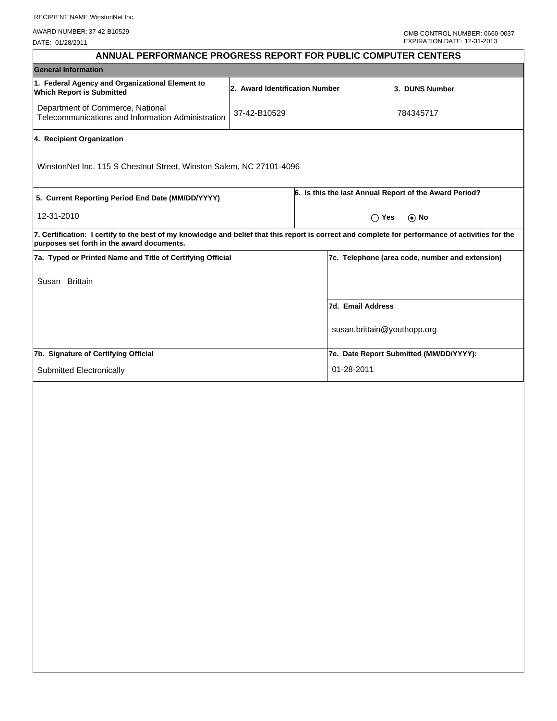|                                                            |  |                                                                     | EXPIRATION DATE: 12-31-2013                                                                                                                                                                                                                           |  |  |
|------------------------------------------------------------|--|---------------------------------------------------------------------|-------------------------------------------------------------------------------------------------------------------------------------------------------------------------------------------------------------------------------------------------------|--|--|
|                                                            |  |                                                                     |                                                                                                                                                                                                                                                       |  |  |
|                                                            |  |                                                                     |                                                                                                                                                                                                                                                       |  |  |
|                                                            |  |                                                                     | 3. DUNS Number                                                                                                                                                                                                                                        |  |  |
| 37-42-B10529                                               |  |                                                                     | 784345717                                                                                                                                                                                                                                             |  |  |
|                                                            |  |                                                                     |                                                                                                                                                                                                                                                       |  |  |
|                                                            |  |                                                                     |                                                                                                                                                                                                                                                       |  |  |
| 5. Current Reporting Period End Date (MM/DD/YYYY)          |  |                                                                     | 6. Is this the last Annual Report of the Award Period?                                                                                                                                                                                                |  |  |
| 12-31-2010                                                 |  |                                                                     | $\bigcap$ Yes<br>$\odot$ No                                                                                                                                                                                                                           |  |  |
|                                                            |  |                                                                     |                                                                                                                                                                                                                                                       |  |  |
| 7a. Typed or Printed Name and Title of Certifying Official |  |                                                                     | 7c. Telephone (area code, number and extension)                                                                                                                                                                                                       |  |  |
|                                                            |  |                                                                     |                                                                                                                                                                                                                                                       |  |  |
|                                                            |  | 7d. Email Address                                                   |                                                                                                                                                                                                                                                       |  |  |
|                                                            |  | susan.brittain@youthopp.org                                         |                                                                                                                                                                                                                                                       |  |  |
| 7b. Signature of Certifying Official                       |  |                                                                     | 7e. Date Report Submitted (MM/DD/YYYY):                                                                                                                                                                                                               |  |  |
|                                                            |  | 01-28-2011                                                          |                                                                                                                                                                                                                                                       |  |  |
|                                                            |  | WinstonNet Inc. 115 S Chestnut Street, Winston Salem, NC 27101-4096 | ANNUAL PERFORMANCE PROGRESS REPORT FOR PUBLIC COMPUTER CENTERS<br>2. Award Identification Number<br>7. Certification: I certify to the best of my knowledge and belief that this report is correct and complete for performance of activities for the |  |  |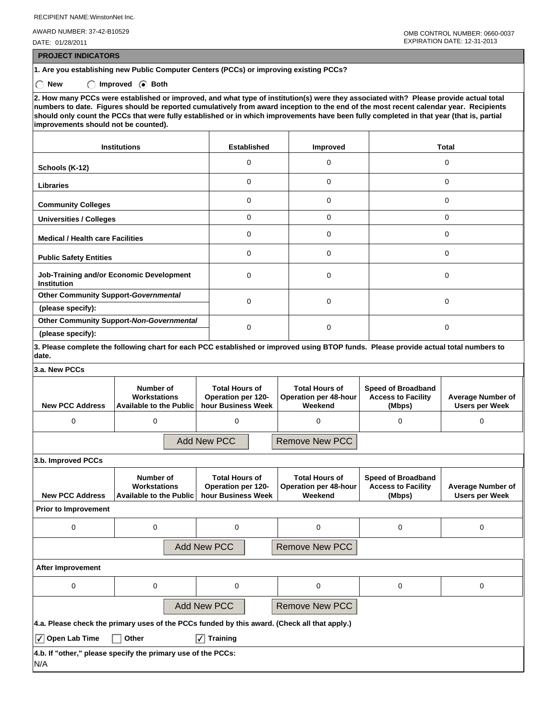RECIPIENT NAME:WinstonNet Inc.

AWARD NUMBER: 37-42-B10529

DATE: 01/28/2011

 **PROJECT INDICATORS**

**1. Are you establishing new Public Computer Centers (PCCs) or improving existing PCCs?**

◯ New ◯ Improved **Both** 

**2. How many PCCs were established or improved, and what type of institution(s) were they associated with? Please provide actual total numbers to date. Figures should be reported cumulatively from award inception to the end of the most recent calendar year. Recipients should only count the PCCs that were fully established or in which improvements have been fully completed in that year (that is, partial improvements should not be counted).**

| <b>Institutions</b>                                            | <b>Established</b> | Improved    | <b>Total</b> |
|----------------------------------------------------------------|--------------------|-------------|--------------|
| Schools (K-12)                                                 | 0                  | $\Omega$    | 0            |
| <b>Libraries</b>                                               | 0                  | 0           | 0            |
| <b>Community Colleges</b>                                      | 0                  | $\Omega$    | 0            |
| <b>Universities / Colleges</b>                                 | 0                  | $\mathbf 0$ | 0            |
| <b>Medical / Health care Facilities</b>                        | $\Omega$           | $\Omega$    | $\Omega$     |
| <b>Public Safety Entities</b>                                  | 0                  | $\Omega$    | 0            |
| Job-Training and/or Economic Development<br><b>Institution</b> | 0                  | $\Omega$    | 0            |
| <b>Other Community Support-Governmental</b>                    | 0                  | $\Omega$    | 0            |
| (please specify):                                              |                    |             |              |
| Other Community Support-Non-Governmental                       | 0                  | 0           | 0            |
| (please specify):                                              |                    |             |              |

**3. Please complete the following chart for each PCC established or improved using BTOP funds. Please provide actual total numbers to date.**

**3.a. New PCCs**

| <b>New PCC Address</b>      | Number of<br>Workstations<br><b>Available to the Public</b>                                  | <b>Total Hours of</b><br><b>Operation per 120-</b><br>hour Business Week | <b>Total Hours of</b><br><b>Operation per 48-hour</b><br>Weekend | <b>Speed of Broadband</b><br><b>Access to Facility</b><br>(Mbps) | <b>Average Number of</b><br><b>Users per Week</b> |
|-----------------------------|----------------------------------------------------------------------------------------------|--------------------------------------------------------------------------|------------------------------------------------------------------|------------------------------------------------------------------|---------------------------------------------------|
| 0                           | 0                                                                                            | 0                                                                        | 0                                                                | 0                                                                | 0                                                 |
|                             |                                                                                              | <b>Add New PCC</b>                                                       | <b>Remove New PCC</b>                                            |                                                                  |                                                   |
| 3.b. Improved PCCs          |                                                                                              |                                                                          |                                                                  |                                                                  |                                                   |
| <b>New PCC Address</b>      | Number of<br>Workstations<br><b>Available to the Public</b>                                  | <b>Total Hours of</b><br>Operation per 120-<br>hour Business Week        | <b>Total Hours of</b><br><b>Operation per 48-hour</b><br>Weekend | <b>Speed of Broadband</b><br><b>Access to Facility</b><br>(Mbps) | <b>Average Number of</b><br><b>Users per Week</b> |
| <b>Prior to Improvement</b> |                                                                                              |                                                                          |                                                                  |                                                                  |                                                   |
| 0                           | $\Omega$                                                                                     | 0                                                                        | $\Omega$                                                         | 0                                                                | $\Omega$                                          |
|                             | <b>Add New PCC</b>                                                                           |                                                                          |                                                                  |                                                                  |                                                   |
| After Improvement           |                                                                                              |                                                                          |                                                                  |                                                                  |                                                   |
| 0                           | $\Omega$                                                                                     | 0                                                                        | 0                                                                | 0                                                                | 0                                                 |
|                             | <b>Add New PCC</b>                                                                           |                                                                          | <b>Remove New PCC</b>                                            |                                                                  |                                                   |
|                             | 4.a. Please check the primary uses of the PCCs funded by this award. (Check all that apply.) |                                                                          |                                                                  |                                                                  |                                                   |

✔ **Open Lab Time Other** ✔ **Training**

|     | 4.b. If "other," please specify the primary use of the PCCs: |  |  |
|-----|--------------------------------------------------------------|--|--|
| N/A |                                                              |  |  |